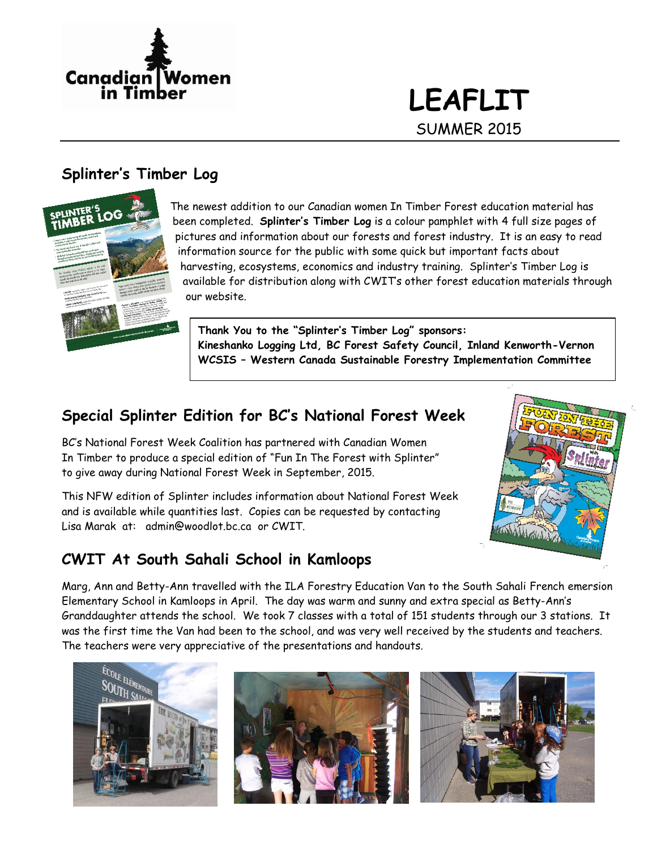

# **LEAFLIT** SUMMER 2015

## **Splinter's Timber Log**



The newest addition to our Canadian women In Timber Forest education material has been completed. **Splinter's Timber Log** is a colour pamphlet with 4 full size pages of pictures and information about our forests and forest industry. It is an easy to read information source for the public with some quick but important facts about harvesting, ecosystems, economics and industry training. Splinter's Timber Log is available for distribution along with CWIT's other forest education materials through our website.

**Thank You to the "Splinter's Timber Log" sponsors: Kineshanko Logging Ltd, BC Forest Safety Council, Inland Kenworth-Vernon WCSIS – Western Canada Sustainable Forestry Implementation Committee**

## **Special Splinter Edition for BC's National Forest Week**

BC's National Forest Week Coalition has partnered with Canadian Women In Timber to produce a special edition of "Fun In The Forest with Splinter" to give away during National Forest Week in September, 2015.

This NFW edition of Splinter includes information about National Forest Week and is available while quantities last. Copies can be requested by contacting Lisa Marak at: [admin@woodlot.bc.ca](mailto:admin@woodlot.bc.ca) or CWIT.



## **CWIT At South Sahali School in Kamloops**

Marg, Ann and Betty-Ann travelled with the ILA Forestry Education Van to the South Sahali French emersion Elementary School in Kamloops in April. The day was warm and sunny and extra special as Betty-Ann's Granddaughter attends the school. We took 7 classes with a total of 151 students through our 3 stations. It was the first time the Van had been to the school, and was very well received by the students and teachers. The teachers were very appreciative of the presentations and handouts.





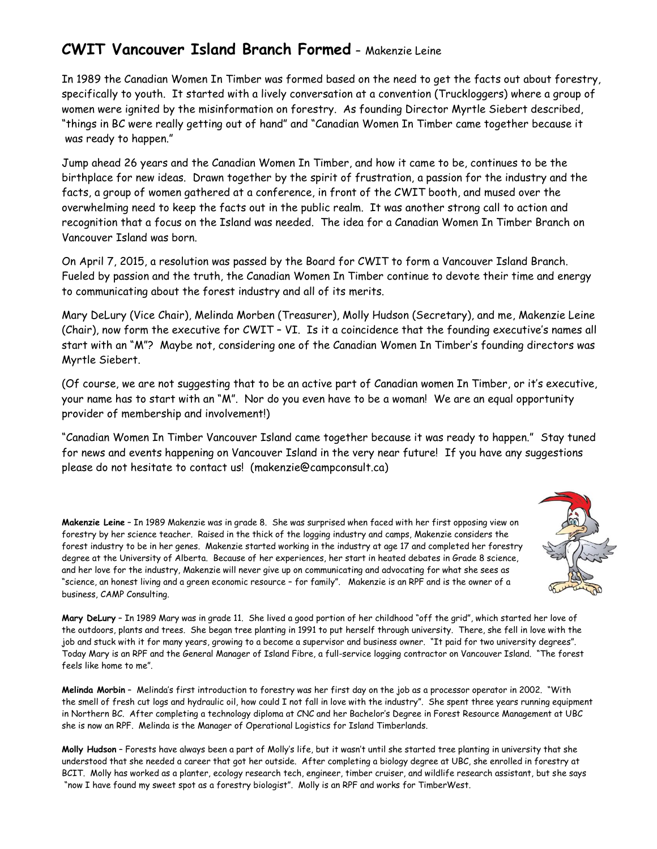# **CWIT Vancouver Island Branch Formed –** Makenzie Leine

In 1989 the Canadian Women In Timber was formed based on the need to get the facts out about forestry, specifically to youth. It started with a lively conversation at a convention (Truckloggers) where a group of women were ignited by the misinformation on forestry. As founding Director Myrtle Siebert described, "things in BC were really getting out of hand" and "Canadian Women In Timber came together because it was ready to happen."

Jump ahead 26 years and the Canadian Women In Timber, and how it came to be, continues to be the birthplace for new ideas. Drawn together by the spirit of frustration, a passion for the industry and the facts, a group of women gathered at a conference, in front of the CWIT booth, and mused over the overwhelming need to keep the facts out in the public realm. It was another strong call to action and recognition that a focus on the Island was needed. The idea for a Canadian Women In Timber Branch on Vancouver Island was born.

On April 7, 2015, a resolution was passed by the Board for CWIT to form a Vancouver Island Branch. Fueled by passion and the truth, the Canadian Women In Timber continue to devote their time and energy to communicating about the forest industry and all of its merits.

Mary DeLury (Vice Chair), Melinda Morben (Treasurer), Molly Hudson (Secretary), and me, Makenzie Leine (Chair), now form the executive for CWIT – VI. Is it a coincidence that the founding executive's names all start with an "M"? Maybe not, considering one of the Canadian Women In Timber's founding directors was Myrtle Siebert.

(Of course, we are not suggesting that to be an active part of Canadian women In Timber, or it's executive, your name has to start with an "M". Nor do you even have to be a woman! We are an equal opportunity provider of membership and involvement!)

"Canadian Women In Timber Vancouver Island came together because it was ready to happen." Stay tuned for news and events happening on Vancouver Island in the very near future! If you have any suggestions please do not hesitate to contact us! [\(makenzie@campconsult.ca\)](mailto:makenzie@campconsult.ca)

**Makenzie Leine** – In 1989 Makenzie was in grade 8. She was surprised when faced with her first opposing view on forestry by her science teacher. Raised in the thick of the logging industry and camps, Makenzie considers the forest industry to be in her genes. Makenzie started working in the industry at age 17 and completed her forestry degree at the University of Alberta. Because of her experiences, her start in heated debates in Grade 8 science, and her love for the industry, Makenzie will never give up on communicating and advocating for what she sees as "science, an honest living and a green economic resource – for family". Makenzie is an RPF and is the owner of a business, CAMP Consulting.

**Mary DeLury** – In 1989 Mary was in grade 11. She lived a good portion of her childhood "off the grid", which started her love of the outdoors, plants and trees. She began tree planting in 1991 to put herself through university. There, she fell in love with the job and stuck with it for many years, growing to a become a supervisor and business owner. "It paid for two university degrees". Today Mary is an RPF and the General Manager of Island Fibre, a full-service logging contractor on Vancouver Island. "The forest feels like home to me".

**Melinda Morbin** – Melinda's first introduction to forestry was her first day on the job as a processor operator in 2002. "With the smell of fresh cut logs and hydraulic oil, how could I not fall in love with the industry". She spent three years running equipment in Northern BC. After completing a technology diploma at CNC and her Bachelor's Degree in Forest Resource Management at UBC she is now an RPF. Melinda is the Manager of Operational Logistics for Island Timberlands.

**Molly Hudson** – Forests have always been a part of Molly's life, but it wasn't until she started tree planting in university that she understood that she needed a career that got her outside. After completing a biology degree at UBC, she enrolled in forestry at BCIT. Molly has worked as a planter, ecology research tech, engineer, timber cruiser, and wildlife research assistant, but she says "now I have found my sweet spot as a forestry biologist". Molly is an RPF and works for TimberWest.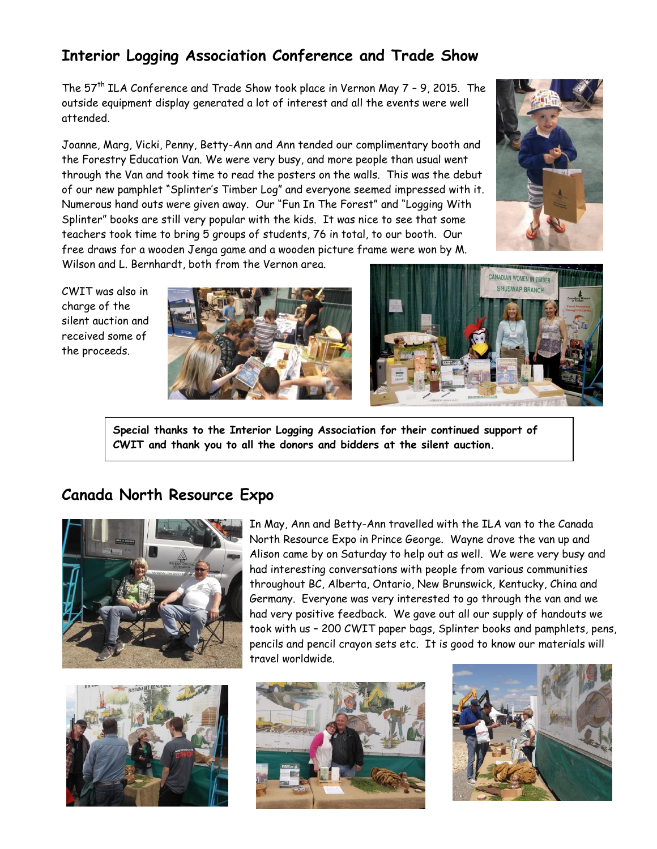# **Interior Logging Association Conference and Trade Show**

The  $57<sup>th</sup>$  ILA Conference and Trade Show took place in Vernon May 7 - 9, 2015. The outside equipment display generated a lot of interest and all the events were well attended.

Joanne, Marg, Vicki, Penny, Betty-Ann and Ann tended our complimentary booth and the Forestry Education Van. We were very busy, and more people than usual went through the Van and took time to read the posters on the walls. This was the debut of our new pamphlet "Splinter's Timber Log" and everyone seemed impressed with it. Numerous hand outs were given away. Our "Fun In The Forest" and "Logging With Splinter" books are still very popular with the kids. It was nice to see that some teachers took time to bring 5 groups of students, 76 in total, to our booth. Our free draws for a wooden Jenga game and a wooden picture frame were won by M. Wilson and L. Bernhardt, both from the Vernon area.



CWIT was also in charge of the silent auction and received some of the proceeds.





**Special thanks to the Interior Logging Association for their continued support of CWIT and thank you to all the donors and bidders at the silent auction.** 

### **Canada North Resource Expo**